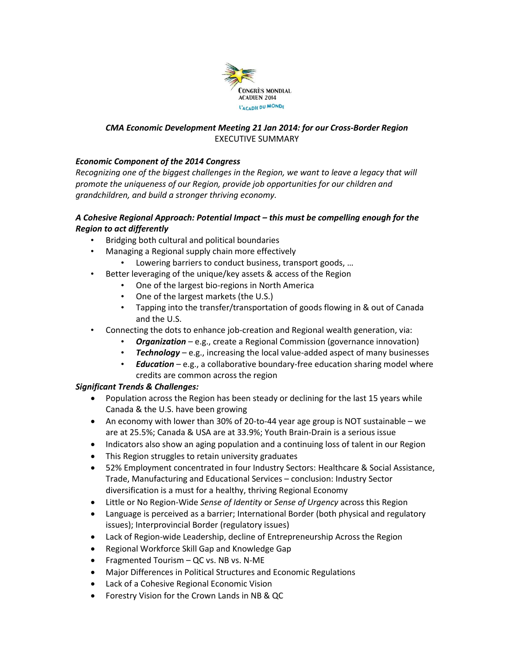

### *CMA Economic Development Meeting 21 Jan 2014: for our Cross-Border Region* EXECUTIVE SUMMARY

# *Economic Component of the 2014 Congress*

*Recognizing one of the biggest challenges in the Region, we want to leave a legacy that will promote the uniqueness of our Region, provide job opportunities for our children and grandchildren, and build a stronger thriving economy.* 

### *A Cohesive Regional Approach: Potential Impact – this must be compelling enough for the Region to act differently*

- Bridging both cultural and political boundaries
- Managing a Regional supply chain more effectively
	- Lowering barriers to conduct business, transport goods, ...
- Better leveraging of the unique/key assets & access of the Region
	- One of the largest bio-regions in North America
	- One of the largest markets (the U.S.)
	- Tapping into the transfer/transportation of goods flowing in & out of Canada and the U.S.
- Connecting the dots to enhance job-creation and Regional wealth generation, via:
	- *Organization* e.g., create a Regional Commission (governance innovation)
	- *Technology* e.g., increasing the local value-added aspect of many businesses
	- *Education* e.g., a collaborative boundary-free education sharing model where credits are common across the region

# *Significant Trends & Challenges:*

- Population across the Region has been steady or declining for the last 15 years while Canada & the U.S. have been growing
- An economy with lower than 30% of 20-to-44 year age group is NOT sustainable we are at 25.5%; Canada & USA are at 33.9%; Youth Brain-Drain is a serious issue
- Indicators also show an aging population and a continuing loss of talent in our Region
- This Region struggles to retain university graduates
- 52% Employment concentrated in four Industry Sectors: Healthcare & Social Assistance, Trade, Manufacturing and Educational Services – conclusion: Industry Sector diversification is a must for a healthy, thriving Regional Economy
- Little or No Region-Wide *Sense of Identity* or *Sense of Urgency* across this Region
- Language is perceived as a barrier; International Border (both physical and regulatory issues); Interprovincial Border (regulatory issues)
- Lack of Region-wide Leadership, decline of Entrepreneurship Across the Region
- Regional Workforce Skill Gap and Knowledge Gap
- Fragmented Tourism QC vs. NB vs. N-ME
- Major Differences in Political Structures and Economic Regulations
- Lack of a Cohesive Regional Economic Vision
- Forestry Vision for the Crown Lands in NB & QC